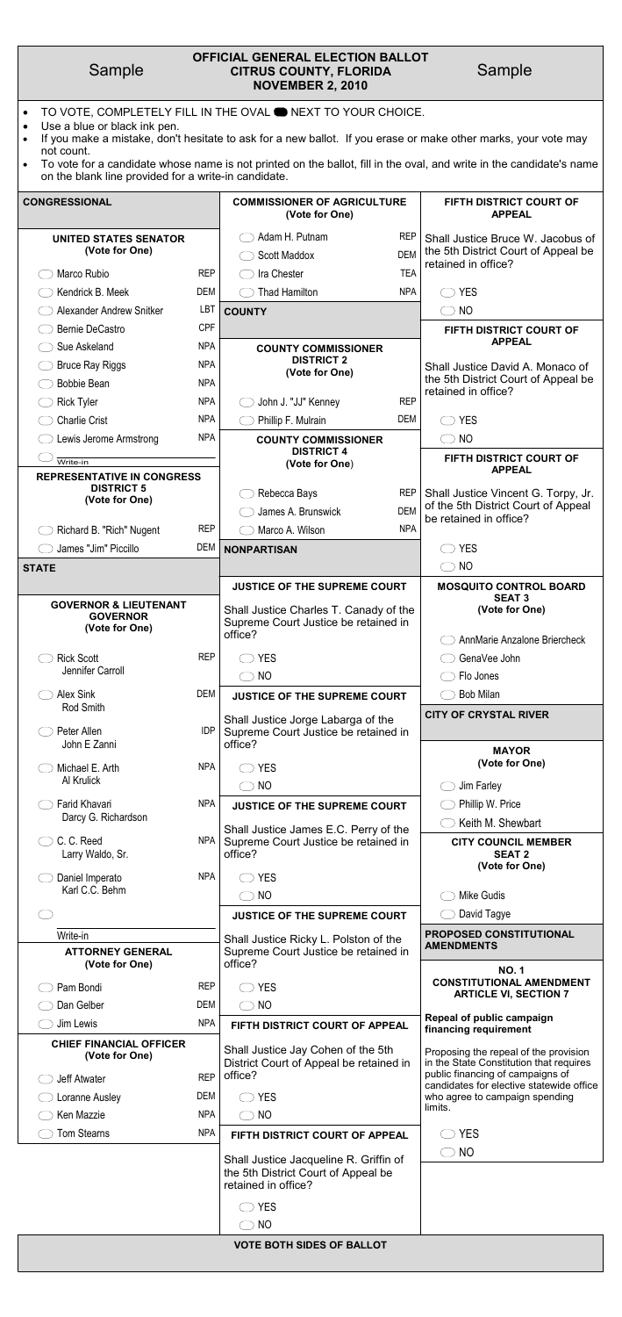| Sample |  |
|--------|--|
|        |  |

# Sample **CITRUS COUNTY, FLORIDA** Sample **OFFICIAL GENERAL ELECTION BALLOT NOVEMBER 2, 2010**

- TO VOTE, COMPLETELY FILL IN THE OVAL **ONEXT TO YOUR CHOICE.**
- Use a blue or black ink pen.
- If you make a mistake, don't hesitate to ask for a new ballot. If you erase or make other marks, your vote may not count.
- To vote for a candidate whose name is not printed on the ballot, fill in the oval, and write in the candidate's name on the blank line provided for a write-in candidate.

| <b>CONGRESSIONAL</b>                                                  |            | <b>COMMISSIONER OF AGRICULTURE</b><br>(Vote for One)                                      |                          | FIFTH DISTRICT COURT OF<br><b>APPEAL</b>                                                        |
|-----------------------------------------------------------------------|------------|-------------------------------------------------------------------------------------------|--------------------------|-------------------------------------------------------------------------------------------------|
| UNITED STATES SENATOR<br>(Vote for One)                               |            | Adam H. Putnam<br><b>Scott Maddox</b>                                                     | <b>REP</b><br><b>DEM</b> | Shall Justice Bruce W. Jacobus of<br>the 5th District Court of Appeal be<br>retained in office? |
| Marco Rubio                                                           | <b>REP</b> | Ira Chester                                                                               | <b>TEA</b>               |                                                                                                 |
| Kendrick B. Meek                                                      | DEM        | <b>Thad Hamilton</b>                                                                      | <b>NPA</b>               | <b>YES</b>                                                                                      |
| Alexander Andrew Snitker                                              | <b>LBT</b> | <b>COUNTY</b>                                                                             |                          | <b>NO</b>                                                                                       |
| <b>Bernie DeCastro</b>                                                | <b>CPF</b> |                                                                                           |                          | FIFTH DISTRICT COURT OF                                                                         |
| Sue Askeland                                                          | <b>NPA</b> | <b>COUNTY COMMISSIONER</b>                                                                |                          | <b>APPEAL</b>                                                                                   |
| <b>Bruce Ray Riggs</b>                                                | <b>NPA</b> | <b>DISTRICT 2</b><br>(Vote for One)                                                       |                          | Shall Justice David A. Monaco of                                                                |
| <b>Bobbie Bean</b>                                                    | <b>NPA</b> |                                                                                           |                          | the 5th District Court of Appeal be<br>retained in office?                                      |
| <b>Rick Tyler</b>                                                     | <b>NPA</b> | John J. "JJ" Kenney                                                                       | <b>REP</b>               |                                                                                                 |
| <b>Charlie Crist</b>                                                  | <b>NPA</b> | Phillip F. Mulrain                                                                        | <b>DEM</b>               | <b>YES</b>                                                                                      |
| Lewis Jerome Armstrong                                                | <b>NPA</b> | <b>COUNTY COMMISSIONER</b>                                                                |                          | NO                                                                                              |
| Write-in                                                              |            | <b>DISTRICT 4</b><br>(Vote for One)                                                       |                          | <b>FIFTH DISTRICT COURT OF</b>                                                                  |
| <b>REPRESENTATIVE IN CONGRESS</b>                                     |            |                                                                                           |                          | <b>APPEAL</b>                                                                                   |
| <b>DISTRICT 5</b><br>(Vote for One)                                   |            | Rebecca Bays                                                                              | <b>REP</b>               | Shall Justice Vincent G. Torpy, Jr.                                                             |
|                                                                       |            | James A. Brunswick                                                                        | <b>DEM</b>               | of the 5th District Court of Appeal<br>be retained in office?                                   |
| Richard B. "Rich" Nugent                                              | <b>REP</b> | Marco A. Wilson                                                                           | <b>NPA</b>               |                                                                                                 |
| James "Jim" Piccillo                                                  | <b>DEM</b> | <b>NONPARTISAN</b>                                                                        |                          | <b>YES</b>                                                                                      |
| <b>STATE</b>                                                          |            |                                                                                           |                          | <b>NO</b>                                                                                       |
|                                                                       |            |                                                                                           |                          |                                                                                                 |
|                                                                       |            | <b>JUSTICE OF THE SUPREME COURT</b>                                                       |                          | <b>MOSQUITO CONTROL BOARD</b>                                                                   |
| <b>GOVERNOR &amp; LIEUTENANT</b><br><b>GOVERNOR</b><br>(Vote for One) |            | Shall Justice Charles T. Canady of the<br>Supreme Court Justice be retained in<br>office? |                          | <b>SEAT 3</b><br>(Vote for One)                                                                 |
|                                                                       |            |                                                                                           |                          | AnnMarie Anzalone Briercheck                                                                    |
| <b>Rick Scott</b><br>Jennifer Carroll                                 | <b>REP</b> | <b>YES</b>                                                                                |                          | GenaVee John                                                                                    |
|                                                                       |            | <b>NO</b>                                                                                 |                          | Flo Jones                                                                                       |
| <b>Alex Sink</b>                                                      | DEM        | JUSTICE OF THE SUPREME COURT                                                              |                          | <b>Bob Milan</b>                                                                                |
| Rod Smith<br>Peter Allen                                              | <b>IDP</b> | Shall Justice Jorge Labarga of the<br>Supreme Court Justice be retained in                |                          | <b>CITY OF CRYSTAL RIVER</b>                                                                    |
| John E Zanni<br>Michael E. Arth                                       | <b>NPA</b> | office?<br><b>YES</b>                                                                     |                          | <b>MAYOR</b><br>(Vote for One)                                                                  |
| Al Krulick                                                            |            | <b>NO</b>                                                                                 |                          | Jim Farley                                                                                      |
| Farid Khavari                                                         | <b>NPA</b> | <b>JUSTICE OF THE SUPREME COURT</b>                                                       |                          | Phillip W. Price                                                                                |
| Darcy G. Richardson                                                   |            |                                                                                           |                          | Keith M. Shewbart                                                                               |
| C. C. Reed<br>Larry Waldo, Sr.                                        | <b>NPA</b> | Shall Justice James E.C. Perry of the<br>Supreme Court Justice be retained in<br>office?  |                          | <b>CITY COUNCIL MEMBER</b><br><b>SEAT 2</b>                                                     |
| Daniel Imperato                                                       | <b>NPA</b> | <b>YES</b>                                                                                |                          | (Vote for One)                                                                                  |
| Karl C.C. Behm                                                        |            | <b>NO</b>                                                                                 |                          | Mike Gudis                                                                                      |
|                                                                       |            | <b>JUSTICE OF THE SUPREME COURT</b>                                                       |                          | David Tagye                                                                                     |
| Write-in                                                              |            | Shall Justice Ricky L. Polston of the                                                     |                          | PROPOSED CONSTITUTIONAL<br><b>AMENDMENTS</b>                                                    |

| (Vote for One)                                   |            | office?                                                                       | <b>NO.1</b>                                                                      |  |
|--------------------------------------------------|------------|-------------------------------------------------------------------------------|----------------------------------------------------------------------------------|--|
| Pam Bondi                                        | <b>REP</b> | <b>YES</b>                                                                    | <b>CONSTITUTIONAL AMENDMENT</b><br><b>ARTICLE VI, SECTION 7</b>                  |  |
| Dan Gelber                                       | <b>DEM</b> | NO<br>$\rightarrow$                                                           |                                                                                  |  |
| Jim Lewis                                        | <b>NPA</b> | FIFTH DISTRICT COURT OF APPEAL                                                | Repeal of public campaign<br>financing requirement                               |  |
| <b>CHIEF FINANCIAL OFFICER</b><br>(Vote for One) |            | Shall Justice Jay Cohen of the 5th<br>District Court of Appeal be retained in | Proposing the repeal of the provision<br>in the State Constitution that requires |  |
| Jeff Atwater                                     | <b>REP</b> | office?                                                                       | public financing of campaigns of<br>candidates for elective statewide office     |  |
| Loranne Ausley                                   | <b>DEM</b> | <b>YES</b>                                                                    | who agree to campaign spending                                                   |  |
| Ken Mazzie                                       | <b>NPA</b> | NO<br>$\left( \begin{array}{c} \end{array} \right)$                           | limits.                                                                          |  |
| <b>Tom Stearns</b>                               | <b>NPA</b> | FIFTH DISTRICT COURT OF APPEAL                                                | YES                                                                              |  |
|                                                  |            | Shall Justice Jacqueline R. Griffin of                                        | NO<br>$\qquad \qquad$                                                            |  |
|                                                  |            | the 5th District Court of Appeal be<br>retained in office?                    |                                                                                  |  |
|                                                  |            | <b>YES</b>                                                                    |                                                                                  |  |
|                                                  |            | N <sub>O</sub>                                                                |                                                                                  |  |
| <b>VOTE BOTH SIDES OF BALLOT</b>                 |            |                                                                               |                                                                                  |  |
|                                                  |            |                                                                               |                                                                                  |  |